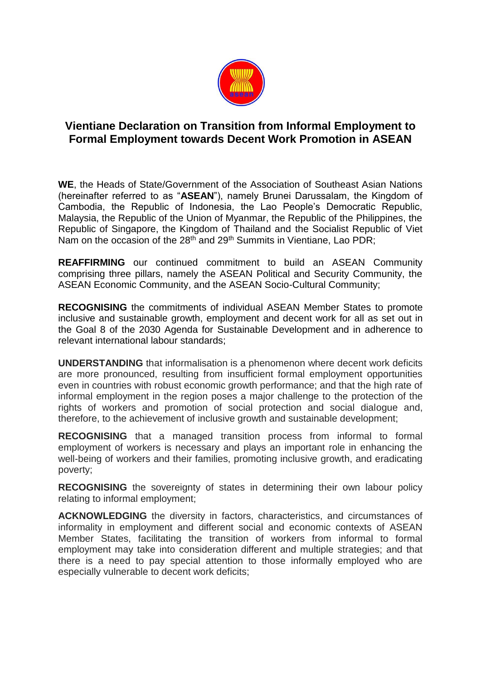

## **Vientiane Declaration on Transition from Informal Employment to Formal Employment towards Decent Work Promotion in ASEAN**

**WE**, the Heads of State/Government of the Association of Southeast Asian Nations (hereinafter referred to as "**ASEAN**"), namely Brunei Darussalam, the Kingdom of Cambodia, the Republic of Indonesia, the Lao People's Democratic Republic, Malaysia, the Republic of the Union of Myanmar, the Republic of the Philippines, the Republic of Singapore, the Kingdom of Thailand and the Socialist Republic of Viet Nam on the occasion of the 28<sup>th</sup> and 29<sup>th</sup> Summits in Vientiane, Lao PDR;

**REAFFIRMING** our continued commitment to build an ASEAN Community comprising three pillars, namely the ASEAN Political and Security Community, the ASEAN Economic Community, and the ASEAN Socio-Cultural Community;

**RECOGNISING** the commitments of individual ASEAN Member States to promote inclusive and sustainable growth, employment and decent work for all as set out in the Goal 8 of the 2030 Agenda for Sustainable Development and in adherence to relevant international labour standards;

**UNDERSTANDING** that informalisation is a phenomenon where decent work deficits are more pronounced, resulting from insufficient formal employment opportunities even in countries with robust economic growth performance; and that the high rate of informal employment in the region poses a major challenge to the protection of the rights of workers and promotion of social protection and social dialogue and, therefore, to the achievement of inclusive growth and sustainable development;

**RECOGNISING** that a managed transition process from informal to formal employment of workers is necessary and plays an important role in enhancing the well-being of workers and their families, promoting inclusive growth, and eradicating poverty;

**RECOGNISING** the sovereignty of states in determining their own labour policy relating to informal employment;

**ACKNOWLEDGING** the diversity in factors, characteristics, and circumstances of informality in employment and different social and economic contexts of ASEAN Member States, facilitating the transition of workers from informal to formal employment may take into consideration different and multiple strategies; and that there is a need to pay special attention to those informally employed who are especially vulnerable to decent work deficits;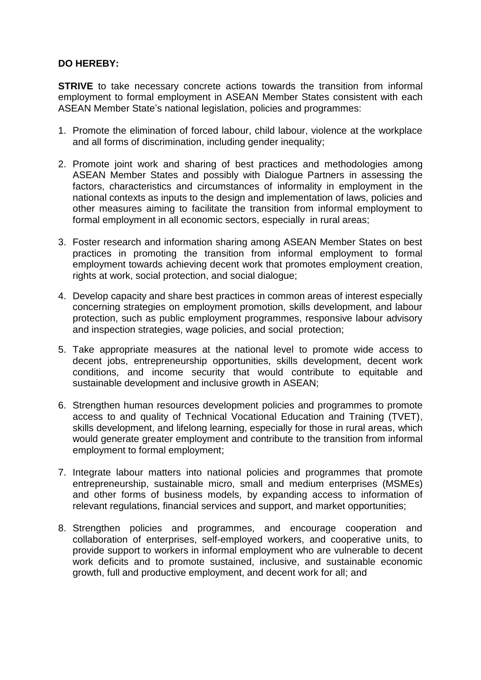## **DO HEREBY:**

**STRIVE** to take necessary concrete actions towards the transition from informal employment to formal employment in ASEAN Member States consistent with each ASEAN Member State's national legislation, policies and programmes:

- 1. Promote the elimination of forced labour, child labour, violence at the workplace and all forms of discrimination, including gender inequality;
- 2. Promote joint work and sharing of best practices and methodologies among ASEAN Member States and possibly with Dialogue Partners in assessing the factors, characteristics and circumstances of informality in employment in the national contexts as inputs to the design and implementation of laws, policies and other measures aiming to facilitate the transition from informal employment to formal employment in all economic sectors, especially in rural areas;
- 3. Foster research and information sharing among ASEAN Member States on best practices in promoting the transition from informal employment to formal employment towards achieving decent work that promotes employment creation, rights at work, social protection, and social dialogue;
- 4. Develop capacity and share best practices in common areas of interest especially concerning strategies on employment promotion, skills development, and labour protection, such as public employment programmes, responsive labour advisory and inspection strategies, wage policies, and social protection;
- 5. Take appropriate measures at the national level to promote wide access to decent jobs, entrepreneurship opportunities, skills development, decent work conditions, and income security that would contribute to equitable and sustainable development and inclusive growth in ASEAN;
- 6. Strengthen human resources development policies and programmes to promote access to and quality of Technical Vocational Education and Training (TVET), skills development, and lifelong learning, especially for those in rural areas, which would generate greater employment and contribute to the transition from informal employment to formal employment;
- 7. Integrate labour matters into national policies and programmes that promote entrepreneurship, sustainable micro, small and medium enterprises (MSMEs) and other forms of business models, by expanding access to information of relevant regulations, financial services and support, and market opportunities;
- 8. Strengthen policies and programmes, and encourage cooperation and collaboration of enterprises, self-employed workers, and cooperative units, to provide support to workers in informal employment who are vulnerable to decent work deficits and to promote sustained, inclusive, and sustainable economic growth, full and productive employment, and decent work for all; and